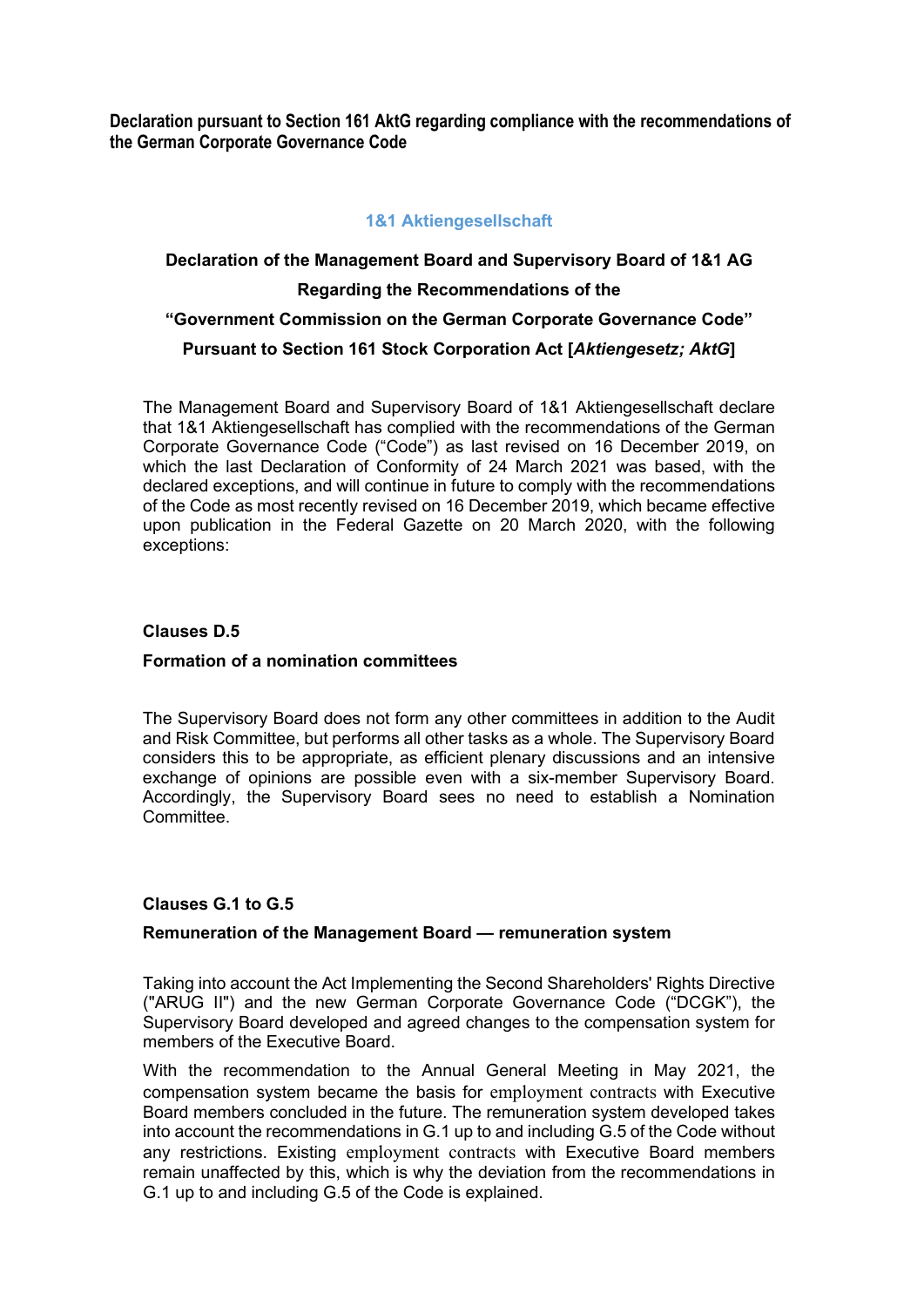**Declaration pursuant to Section 161 AktG regarding compliance with the recommendations of the German Corporate Governance Code**

## **1&1 Aktiengesellschaft**

# **Declaration of the Management Board and Supervisory Board of 1&1 AG Regarding the Recommendations of the "Government Commission on the German Corporate Governance Code" Pursuant to Section 161 Stock Corporation Act [***Aktiengesetz; AktG***]**

The Management Board and Supervisory Board of 1&1 Aktiengesellschaft declare that 1&1 Aktiengesellschaft has complied with the recommendations of the German Corporate Governance Code ("Code") as last revised on 16 December 2019, on which the last Declaration of Conformity of 24 March 2021 was based, with the declared exceptions, and will continue in future to comply with the recommendations of the Code as most recently revised on 16 December 2019, which became effective upon publication in the Federal Gazette on 20 March 2020, with the following exceptions:

## **Clauses D.5**

## **Formation of a nomination committees**

The Supervisory Board does not form any other committees in addition to the Audit and Risk Committee, but performs all other tasks as a whole. The Supervisory Board considers this to be appropriate, as efficient plenary discussions and an intensive exchange of opinions are possible even with a six-member Supervisory Board. Accordingly, the Supervisory Board sees no need to establish a Nomination Committee.

## **Clauses G.1 to G.5**

## **Remuneration of the Management Board — remuneration system**

Taking into account the Act Implementing the Second Shareholders' Rights Directive ("ARUG II") and the new German Corporate Governance Code ("DCGK"), the Supervisory Board developed and agreed changes to the compensation system for members of the Executive Board.

With the recommendation to the Annual General Meeting in May 2021, the compensation system became the basis for employment contracts with Executive Board members concluded in the future. The remuneration system developed takes into account the recommendations in G.1 up to and including G.5 of the Code without any restrictions. Existing employment contracts with Executive Board members remain unaffected by this, which is why the deviation from the recommendations in G.1 up to and including G.5 of the Code is explained.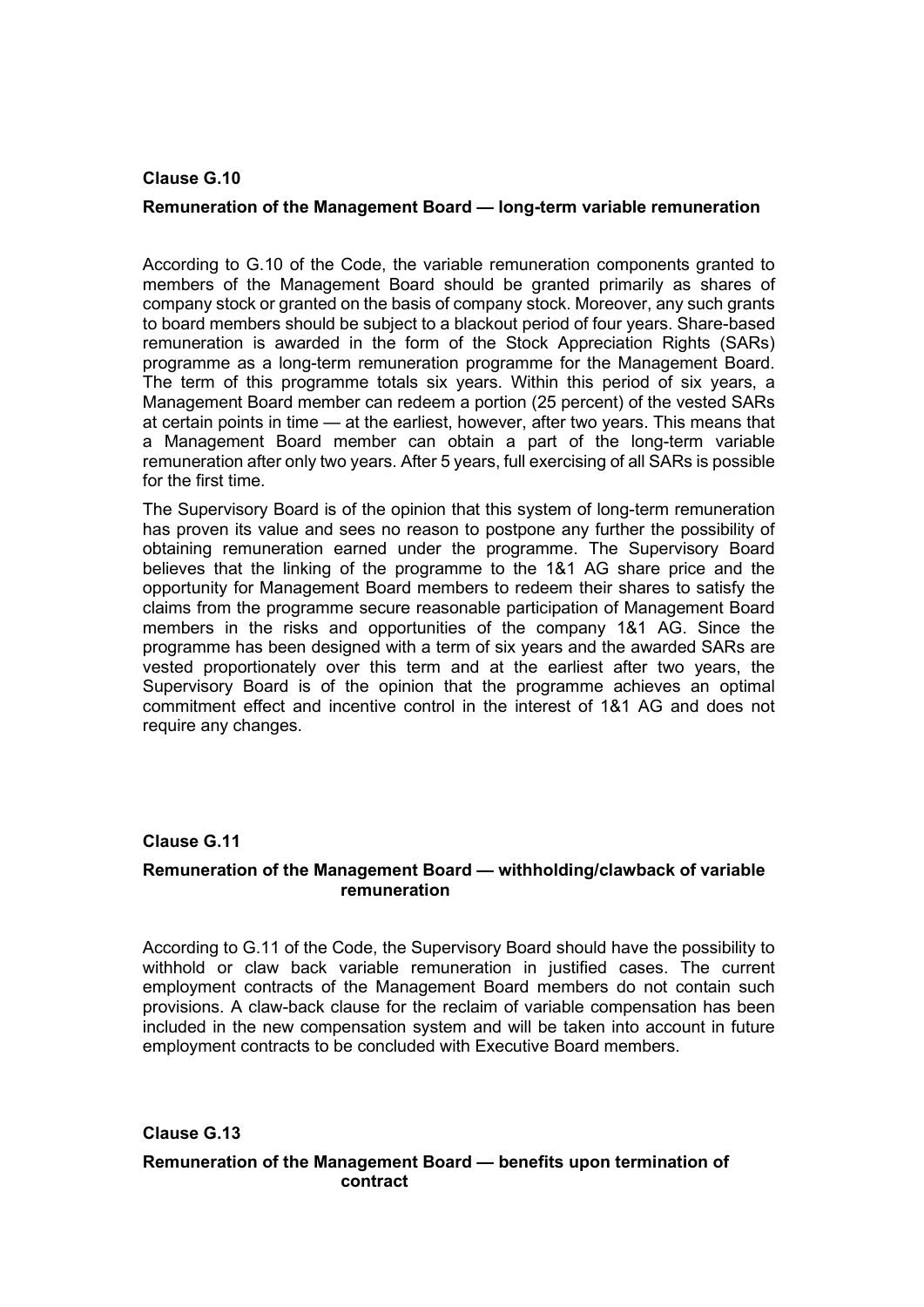#### **Clause G.10**

#### **Remuneration of the Management Board — long-term variable remuneration**

According to G.10 of the Code, the variable remuneration components granted to members of the Management Board should be granted primarily as shares of company stock or granted on the basis of company stock. Moreover, any such grants to board members should be subject to a blackout period of four years. Share-based remuneration is awarded in the form of the Stock Appreciation Rights (SARs) programme as a long-term remuneration programme for the Management Board. The term of this programme totals six years. Within this period of six years, a Management Board member can redeem a portion (25 percent) of the vested SARs at certain points in time — at the earliest, however, after two years. This means that a Management Board member can obtain a part of the long-term variable remuneration after only two years. After 5 years, full exercising of all SARs is possible for the first time.

The Supervisory Board is of the opinion that this system of long-term remuneration has proven its value and sees no reason to postpone any further the possibility of obtaining remuneration earned under the programme. The Supervisory Board believes that the linking of the programme to the 1&1 AG share price and the opportunity for Management Board members to redeem their shares to satisfy the claims from the programme secure reasonable participation of Management Board members in the risks and opportunities of the company 1&1 AG. Since the programme has been designed with a term of six years and the awarded SARs are vested proportionately over this term and at the earliest after two years, the Supervisory Board is of the opinion that the programme achieves an optimal commitment effect and incentive control in the interest of 1&1 AG and does not require any changes.

## **Clause G.11**

#### **Remuneration of the Management Board — withholding/clawback of variable remuneration**

According to G.11 of the Code, the Supervisory Board should have the possibility to withhold or claw back variable remuneration in justified cases. The current employment contracts of the Management Board members do not contain such provisions. A claw-back clause for the reclaim of variable compensation has been included in the new compensation system and will be taken into account in future employment contracts to be concluded with Executive Board members.

## **Clause G.13**

#### **Remuneration of the Management Board — benefits upon termination of contract**